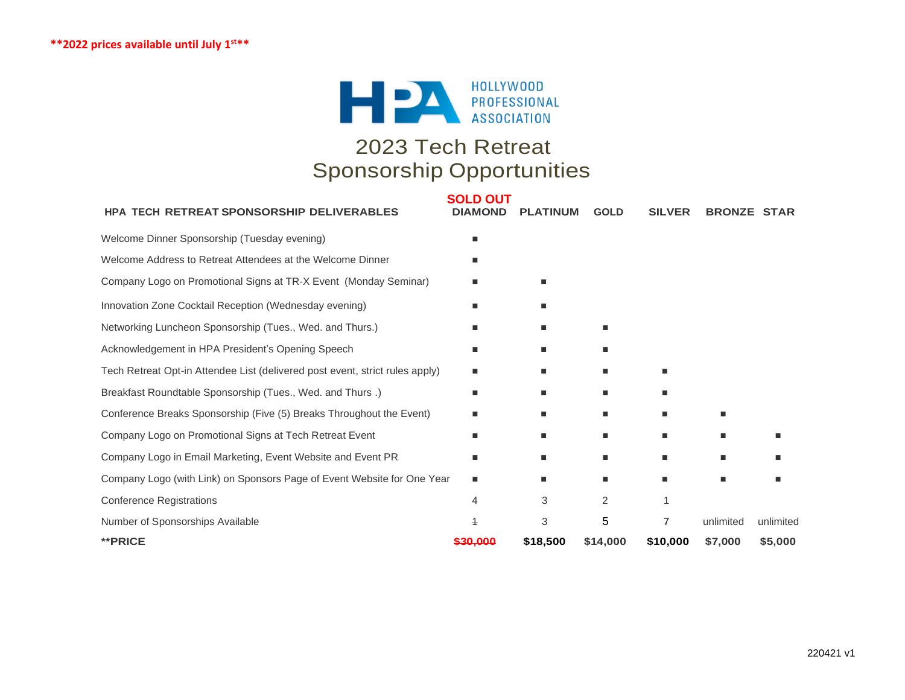

# 2023 Tech Retreat Sponsorship Opportunities

| <b>HPA TECH RETREAT SPONSORSHIP DELIVERABLES</b>                             | <b>SOLD OUT</b><br><b>DIAMOND</b> | <b>PLATINUM</b> | <b>GOLD</b> | <b>SILVER</b> | <b>BRONZE STAR</b> |           |
|------------------------------------------------------------------------------|-----------------------------------|-----------------|-------------|---------------|--------------------|-----------|
| Welcome Dinner Sponsorship (Tuesday evening)                                 |                                   |                 |             |               |                    |           |
| Welcome Address to Retreat Attendees at the Welcome Dinner                   |                                   |                 |             |               |                    |           |
| Company Logo on Promotional Signs at TR-X Event (Monday Seminar)             |                                   | ■               |             |               |                    |           |
| Innovation Zone Cocktail Reception (Wednesday evening)                       |                                   | п               |             |               |                    |           |
| Networking Luncheon Sponsorship (Tues., Wed. and Thurs.)                     |                                   | п               |             |               |                    |           |
| Acknowledgement in HPA President's Opening Speech                            |                                   | ٠               |             |               |                    |           |
| Tech Retreat Opt-in Attendee List (delivered post event, strict rules apply) | ٠                                 | ٠               | ٠           | ٠             |                    |           |
| Breakfast Roundtable Sponsorship (Tues., Wed. and Thurs.)                    |                                   | п               | ٠           | п             |                    |           |
| Conference Breaks Sponsorship (Five (5) Breaks Throughout the Event)         |                                   | ш               | ٠           | ٠             | ٠                  |           |
| Company Logo on Promotional Signs at Tech Retreat Event                      |                                   | п               | п           |               | ш                  |           |
| Company Logo in Email Marketing, Event Website and Event PR                  | п                                 | ٠               | ٠           | ٠             | ٠                  |           |
| Company Logo (with Link) on Sponsors Page of Event Website for One Year      |                                   | п               |             |               | ш                  |           |
| <b>Conference Registrations</b>                                              | 4                                 | 3               | 2           |               |                    |           |
| Number of Sponsorships Available                                             | 4                                 | 3               | 5           | 7             | unlimited          | unlimited |
| **PRICE                                                                      | <del>\$30.000</del>               | \$18,500        | \$14,000    | \$10,000      | \$7,000            | \$5,000   |